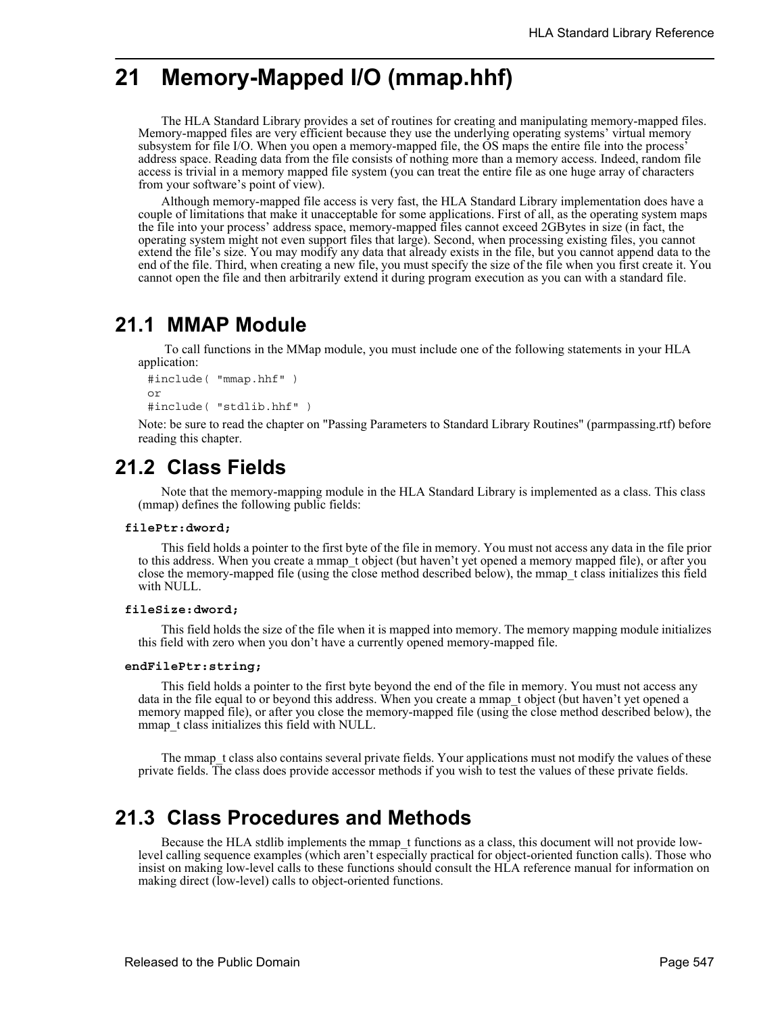# **21 Memory-Mapped I/O (mmap.hhf)**

The HLA Standard Library provides a set of routines for creating and manipulating memory-mapped files. Memory-mapped files are very efficient because they use the underlying operating systems' virtual memory subsystem for file I/O. When you open a memory-mapped file, the OS maps the entire file into the process' address space. Reading data from the file consists of nothing more than a memory access. Indeed, random file access is trivial in a memory mapped file system (you can treat the entire file as one huge array of characters from your software's point of view).

Although memory-mapped file access is very fast, the HLA Standard Library implementation does have a couple of limitations that make it unacceptable for some applications. First of all, as the operating system maps the file into your process' address space, memory-mapped files cannot exceed 2GBytes in size (in fact, the operating system might not even support files that large). Second, when processing existing files, you cannot extend the file's size. You may modify any data that already exists in the file, but you cannot append data to the end of the file. Third, when creating a new file, you must specify the size of the file when you first create it. You cannot open the file and then arbitrarily extend it during program execution as you can with a standard file.

## **21.1 MMAP Module**

 To call functions in the MMap module, you must include one of the following statements in your HLA application:

```
#include( "mmap.hhf" )
or
#include( "stdlib.hhf" )
```
Note: be sure to read the chapter on "Passing Parameters to Standard Library Routines" (parmpassing.rtf) before reading this chapter.

## **21.2 Class Fields**

Note that the memory-mapping module in the HLA Standard Library is implemented as a class. This class (mmap) defines the following public fields:

### **filePtr:dword;**

This field holds a pointer to the first byte of the file in memory. You must not access any data in the file prior to this address. When you create a mmap\_t object (but haven't yet opened a memory mapped file), or after you close the memory-mapped file (using the close method described below), the mmap\_t class initializes this field with NULL.

### **fileSize:dword;**

This field holds the size of the file when it is mapped into memory. The memory mapping module initializes this field with zero when you don't have a currently opened memory-mapped file.

#### **endFilePtr:string;**

This field holds a pointer to the first byte beyond the end of the file in memory. You must not access any data in the file equal to or beyond this address. When you create a mmap t object (but haven't yet opened a memory mapped file), or after you close the memory-mapped file (using the close method described below), the mmap t class initializes this field with NULL.

The mmap t class also contains several private fields. Your applications must not modify the values of these private fields. The class does provide accessor methods if you wish to test the values of these private fields.

## **21.3 Class Procedures and Methods**

Because the HLA stdlib implements the mmap t functions as a class, this document will not provide lowlevel calling sequence examples (which aren't especially practical for object-oriented function calls). Those who insist on making low-level calls to these functions should consult the HLA reference manual for information on making direct (low-level) calls to object-oriented functions.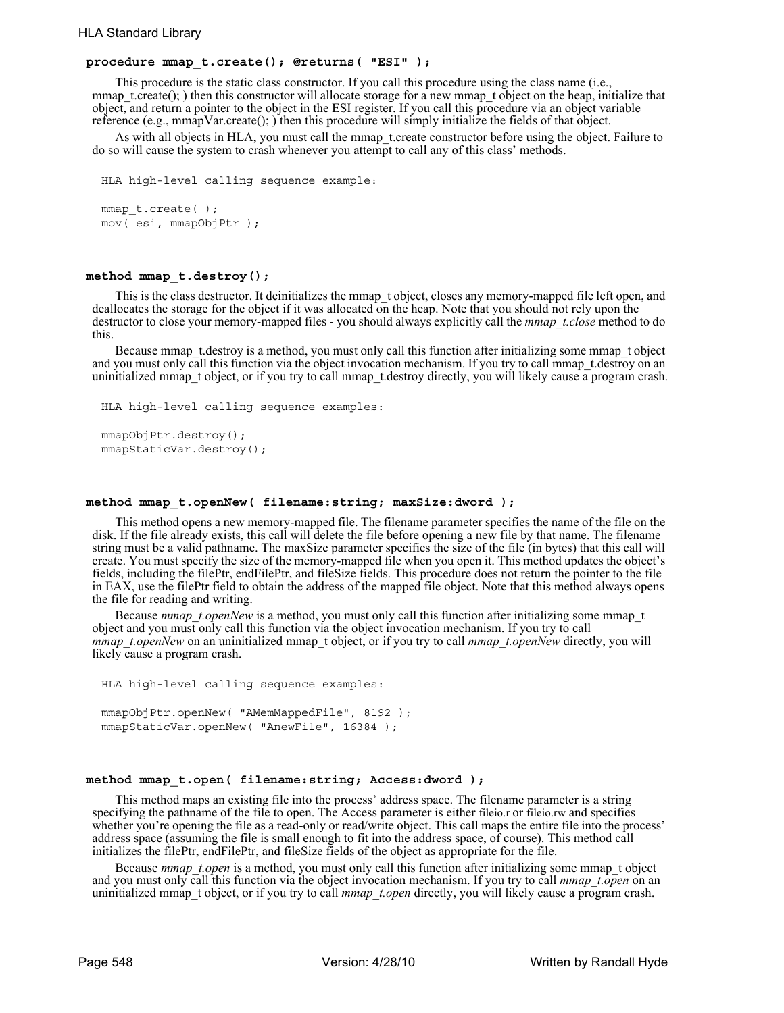### **procedure mmap\_t.create(); @returns( "ESI" );**

This procedure is the static class constructor. If you call this procedure using the class name (i.e., mmap\_t.create(); ) then this constructor will allocate storage for a new mmap\_t object on the heap, initialize that object, and return a pointer to the object in the ESI register. If you call this procedure via an object variable reference (e.g., mmapVar.create(); ) then this procedure will simply initialize the fields of that object.

As with all objects in HLA, you must call the mmap terreate constructor before using the object. Failure to do so will cause the system to crash whenever you attempt to call any of this class' methods.

```
HLA high-level calling sequence example:
mmap t.create( );
mov( esi, mmapObjPtr );
```
### **method mmap\_t.destroy();**

This is the class destructor. It deinitializes the mmap\_t object, closes any memory-mapped file left open, and deallocates the storage for the object if it was allocated on the heap. Note that you should not rely upon the destructor to close your memory-mapped files - you should always explicitly call the *mmap\_t.close* method to do this.

Because mmap t.destroy is a method, you must only call this function after initializing some mmap t object and you must only call this function via the object invocation mechanism. If you try to call mmap t.destroy on an uninitialized mmap\_t object, or if you try to call mmap\_t.destroy directly, you will likely cause a program crash.

```
HLA high-level calling sequence examples:
mmapObjPtr.destroy();
mmapStaticVar.destroy();
```
#### **method mmap\_t.openNew( filename:string; maxSize:dword );**

This method opens a new memory-mapped file. The filename parameter specifies the name of the file on the disk. If the file already exists, this call will delete the file before opening a new file by that name. The filename string must be a valid pathname. The maxSize parameter specifies the size of the file (in bytes) that this call will create. You must specify the size of the memory-mapped file when you open it. This method updates the object's fields, including the filePtr, endFilePtr, and fileSize fields. This procedure does not return the pointer to the file in EAX, use the filePtr field to obtain the address of the mapped file object. Note that this method always opens the file for reading and writing.

Because *mmap* t.openNew is a method, you must only call this function after initializing some mmap t object and you must only call this function via the object invocation mechanism. If you try to call *mmap\_t.openNew* on an uninitialized mmap\_t object, or if you try to call *mmap\_t.openNew* directly, you will likely cause a program crash.

```
HLA high-level calling sequence examples:
mmapObjPtr.openNew( "AMemMappedFile", 8192 );
mmapStaticVar.openNew( "AnewFile", 16384 );
```
#### **method mmap\_t.open( filename:string; Access:dword );**

This method maps an existing file into the process' address space. The filename parameter is a string specifying the pathname of the file to open. The Access parameter is either fileio.r or fileio.rw and specifies whether you're opening the file as a read-only or read/write object. This call maps the entire file into the process' address space (assuming the file is small enough to fit into the address space, of course). This method call initializes the filePtr, endFilePtr, and fileSize fields of the object as appropriate for the file.

Because *mmap* t.open is a method, you must only call this function after initializing some mmap t object and you must only call this function via the object invocation mechanism. If you try to call *mmap* t.open on an uninitialized mmap\_t object, or if you try to call *mmap\_t.open* directly, you will likely cause a program crash.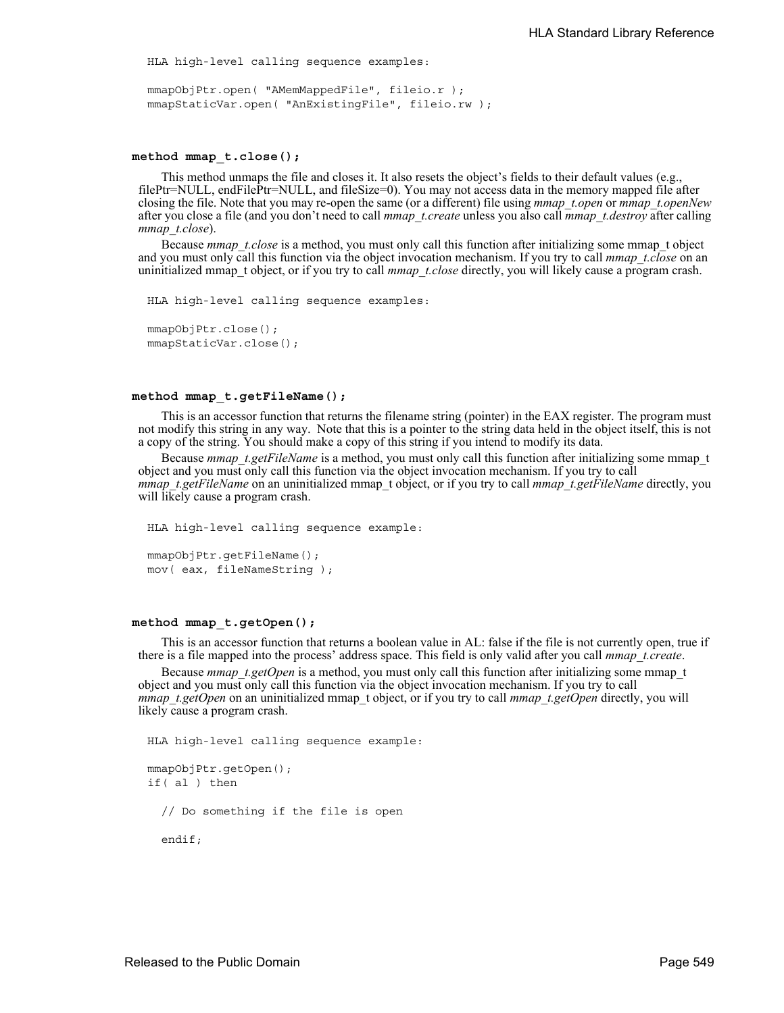HLA high-level calling sequence examples:

```
mmapObjPtr.open( "AMemMappedFile", fileio.r );
mmapStaticVar.open( "AnExistingFile", fileio.rw );
```
#### **method mmap\_t.close();**

This method unmaps the file and closes it. It also resets the object's fields to their default values (e.g., filePtr=NULL, endFilePtr=NULL, and fileSize=0). You may not access data in the memory mapped file after closing the file. Note that you may re-open the same (or a different) file using *mmap\_t.open* or *mmap\_t.openNew* after you close a file (and you don't need to call *mmap\_t.create* unless you also call *mmap\_t.destroy* after calling *mmap\_t.close*).

Because *mmap\_t.close* is a method, you must only call this function after initializing some mmap\_t object and you must only call this function via the object invocation mechanism. If you try to call *mmap t.close* on an uninitialized mmap\_t object, or if you try to call *mmap\_t.close* directly, you will likely cause a program crash.

```
HLA high-level calling sequence examples:
mmapObjPtr.close();
mmapStaticVar.close();
```
#### **method mmap\_t.getFileName();**

This is an accessor function that returns the filename string (pointer) in the EAX register. The program must not modify this string in any way. Note that this is a pointer to the string data held in the object itself, this is not a copy of the string. You should make a copy of this string if you intend to modify its data.

Because *mmap* t.getFileName is a method, you must only call this function after initializing some mmap t object and you must only call this function via the object invocation mechanism. If you try to call *mmap\_t.getFileName* on an uninitialized mmap\_t object, or if you try to call *mmap\_t.getFileName* directly, you will likely cause a program crash.

```
HLA high-level calling sequence example:
mmapObjPtr.getFileName();
mov( eax, fileNameString );
```
#### **method mmap\_t.getOpen();**

This is an accessor function that returns a boolean value in AL: false if the file is not currently open, true if there is a file mapped into the process' address space. This field is only valid after you call *mmap\_t.create*.

Because *mmap\_t.getOpen* is a method, you must only call this function after initializing some mmap\_t object and you must only call this function via the object invocation mechanism. If you try to call *mmap\_t.getOpen* on an uninitialized mmap\_t object, or if you try to call *mmap\_t.getOpen* directly, you will likely cause a program crash.

```
HLA high-level calling sequence example:
mmapObjPtr.getOpen();
if( al ) then
  // Do something if the file is open
 endif;
```